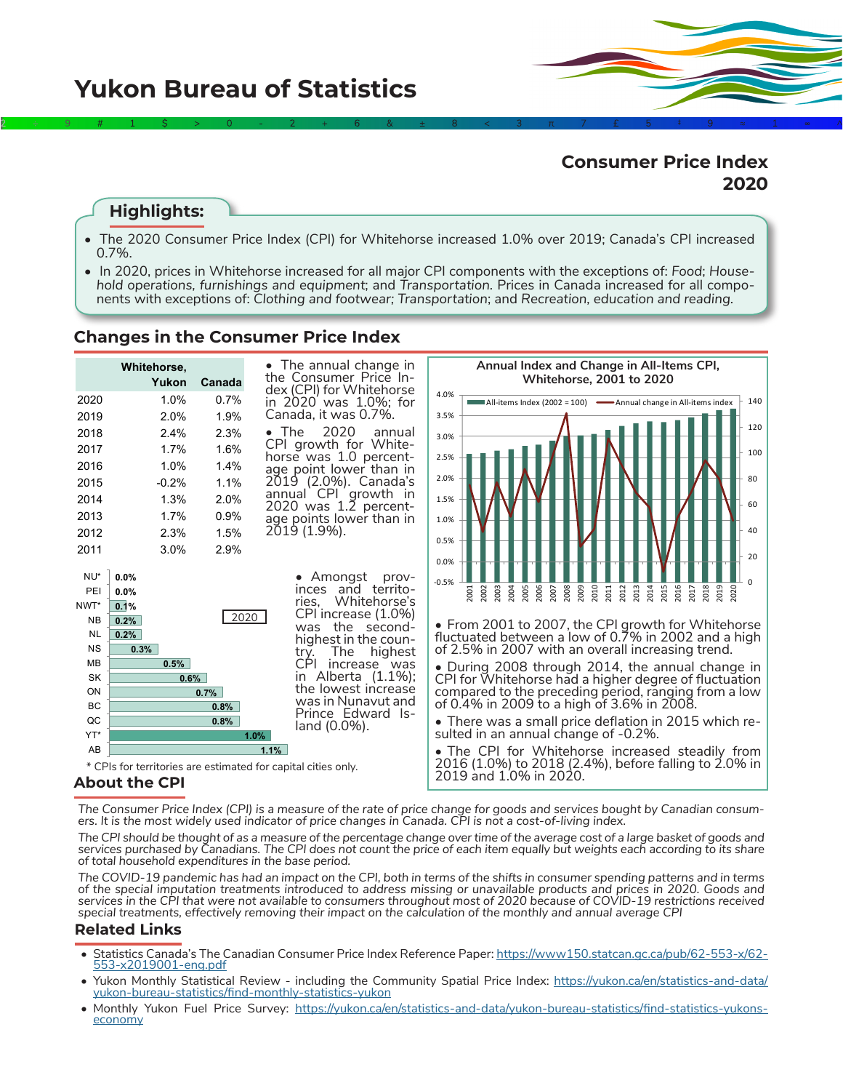# **Consumer Price Index 2020**

# **Highlights:**

• The 2020 Consumer Price Index (CPI) for Whitehorse increased 1.0% over 2019; Canada's CPI increased 0.7%.

2÷9#1\$>0-2+6&±8<3π7£5‡9≈1∞^

• In 2020, prices in Whitehorse increased for all major CPI components with the exceptions of: *Food*; *Household operations, furnishings and equipment*; and *Transportation.* Prices in Canada increased for all components with exceptions of: *Clothing and footwear; Transportation*; and *Recreation, education and reading.*

### **Changes in the Consumer Price Index**



### **About the CPI**

The Consumer Price Index (CPI) is a measure of the rate of price change for goods and services bought by Canadian consum-<br>ers. It is the most widely used indicator of price changes in Canada. CPI is not a cost-of-living in

*The CPI should be thought of as a measure of the percentage change over time of the average cost of a large basket of goods and services purchased by Canadians. The CPI does not count the price of each item equally but weights each according to its share of total household expenditures in the base period.* 

*The COVID-19 pandemic has had an impact on the CPI, both in terms of the shifts in consumer spending patterns and in terms of the special imputation treatments introduced to address missing or unavailable products and prices in 2020. Goods and services in the CPI that were not available to consumers throughout most of 2020 because of COVID-19 restrictions received special treatments, effectively removing their impact on the calculation of the monthly and annual average CPI*

#### **Related Links**

- Statistics Canada's The Canadian Consumer Price Index Reference Paper: [https://www150.statcan.gc.ca/pub/62-553-x/62-](https://www150.statcan.gc.ca/pub/62-553-x/62-553-x2019001-eng.pdf)<br>[553-x2019001-eng.pdf](https://www150.statcan.gc.ca/pub/62-553-x/62-553-x2019001-eng.pdf)
- Yukon Monthly Statistical Review including the Community Spatial Price Index: [https://yukon.ca/en/statistics-and-data/](https://yukon.ca/en/statistics-and-data/yukon-bureau-statistics/find-monthly-statistics-yukon) [yukon-bureau-statistics/find-monthly-statistics-yukon](https://yukon.ca/en/statistics-and-data/yukon-bureau-statistics/find-monthly-statistics-yukon)
- Monthly Yukon Fuel Price Survey: [https://yukon.ca/en/statistics-and-data/yukon-bureau-statistics/find-statistics-yukons](https://yukon.ca/en/statistics-and-data/yukon-bureau-statistics/find-statistics-yukons-economy)[economy](https://yukon.ca/en/statistics-and-data/yukon-bureau-statistics/find-statistics-yukons-economy)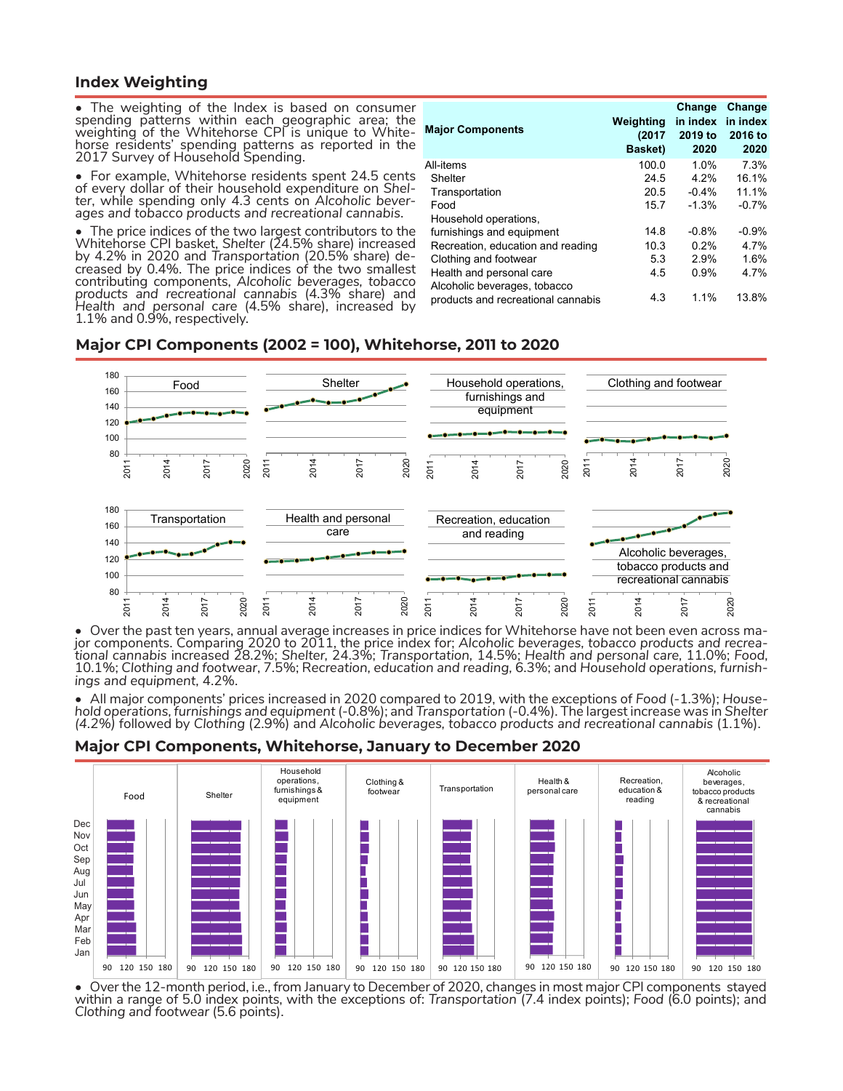#### **Index Weighting**

The weighting of the Index is based on consumer spending patterns within each geographic area; the weighting of the Whitehorse CPI is unique to Whiteweighting of the Whitehorse CPI is unique to White-<br>horse residents' spending patterns as reported in the 2017 Survey of Household Spending.

• For example, Whitehorse residents spent 24.5 cents of every dollar of their household expenditure on *Shel- ter*, while spending only 4.3 cents on *Alcoholic bever- ages and tobacco products and recreational cannabis*.

• The price indices of the two largest contributors to the Whitehorse CPI basket, Shelter (24.5% share) increased<br>by 4.2% in 2020 and Transportation (20.5% share) de-<br>creased by 0.4%. The price indices of the two smallest contributing components, *Alcoholic beverages, tobacco products and recreational cannabis* (4.3% share) and *Health and personal care* (4.5% share), increased by 1.1% and 0.9%, respectively.

| <b>Major Components</b>                                            | Weighting<br>(2017)<br>Basket) | Change<br>in index<br>2019 to<br>2020 | Change<br>in index<br>2016 to<br>2020 |
|--------------------------------------------------------------------|--------------------------------|---------------------------------------|---------------------------------------|
| All-items                                                          | 100.0                          | 1.0%                                  | 7.3%                                  |
| Shelter                                                            | 24.5                           | 4.2%                                  | 16.1%                                 |
| Transportation                                                     | 20.5                           | $-0.4%$                               | 11.1%                                 |
| Food                                                               | 15.7                           | $-1.3%$                               | $-0.7%$                               |
| Household operations,                                              |                                |                                       |                                       |
| furnishings and equipment                                          | 14.8                           | $-0.8%$                               | $-0.9%$                               |
| Recreation, education and reading                                  | 10.3                           | 0.2%                                  | 4.7%                                  |
| Clothing and footwear                                              | 5.3                            | 2.9%                                  | 1.6%                                  |
| Health and personal care                                           | 4.5                            | 0.9%                                  | 4.7%                                  |
| Alcoholic beverages, tobacco<br>products and recreational cannabis | 4.3                            | 1.1%                                  | 13.8%                                 |

#### **Major CPI Components (2002 = 100), Whitehorse, 2011 to 2020**



● Over the past ten years, annual average increases in price indices for Whitehorse have not been even across ma-<br>jor components. Comparing 2020 to 2011, the price index for; Alcoholic beverages, tobacco products and recr 10.1%; *Clothing and footwear*, 7.5%; R*ecreation, education and reading,* 6.3%; and *Household operations, furnish- ings and equipment,* 4.2%.

• All major components' prices increased in 2020 compared to 2019, with the exceptions of Food (-1.3%); House-<br>hold operations, furnishings and equipment (-0.8%); and Transportation (-0.4%). The largest increase was in She *(4.2%)* followed by *Clothing* (2.9%) and *Alcoholic beverages, tobacco products and recreational cannabis* (1.1%).

#### **Major CPI Components, Whitehorse, January to December 2020**



• Over the 12-month period, i.e., from January to December of 2020, changes in most major CPI components stayed within a range of 5.0 index points, with the exceptions of: *Transportation* (7.4 index points); *Food* (6.0 points); and *Clothing and footwear* (5.6 points).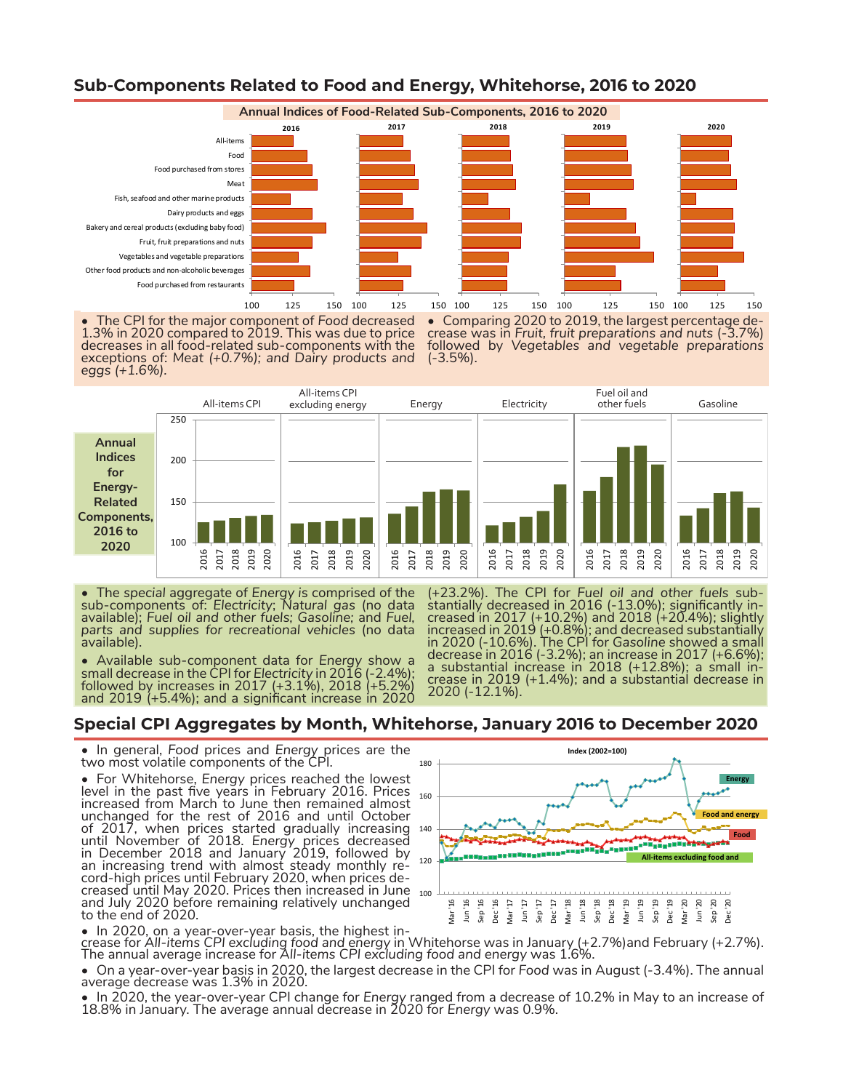

### **Sub-Components Related to Food and Energy, Whitehorse, 2016 to 2020**

The CPI for the major component of Food decreased 1.3% in 2020 compared to 2019. This was due to price decreases in all food-related sub-components with the exceptions of: *Meat (+0.7%); and Dairy products and eggs (+1.6%).* • Comparing 2020 to 2019, the largest percentage de- crease was in *Fruit, fruit preparations and nuts* (-3.7%) followed by *Vegetables and vegetable preparations* (-3.5%).



• The *special* aggregate of *Energy i*s comprised of the sub-components of: *Electricity*; *Natural gas* (no data available); *Fuel oil and other fuels; Gasoline;* and *Fuel, parts and supplies for recreational vehicles* (no data available).

• Available sub-component data for *Energy* show a small decrease in the CPI for Electricity in 2016 (-2.4%);<br>followed by increases in 2017 (+3.1%), 2018 (+5.2%) and 2019 (+5.4%); and a significant increase in 2020

(+23.2%). The CPI for *Fuel oil and other fuels* sub- stantially decreased in 2016 (-13.0%); significantly in- creased in 2017 (+10.2%) and 2018 (+20.4%); slightly increased in 2019 (+0.8%); and decreased substantially in 2020 (-10.6%). The CPI for *Gasoline* showed a small decrease in 2016 (-3.2%); an increase in 2017 (+6.6%); a substantial increase in 2018 (+12.8%); a small in-<br>crease in 2019 (+1.4%); and a substantial decrease in crease in 2019 (+1.4%); and a substantiál decrease in<br>2020 (-12.1%).

### **Special CPI Aggregates by Month, Whitehorse, January 2016 to December 2020**

• In general, *Food* prices and *Energy* prices are the two most volatile components of the CPI.

• For Whitehorse, *Energy* prices reached the lowest level in the past five years in February 2016. Prices lever in the past live years in February 2010. Thees 160<br>increased from March to June then remained almost unchanged for the rest of 2016 and until October of 2017, when prices started gradually increasing until November of 2018. *Energy* prices decreased in December 2018 and January 2019, followed by an increasing trend with almost steady monthly re-<br>cord-high prices until February 2020, when prices de-<br>creased until May 2020. Prices then increased in June 100 and July 2020 before remaining relatively unchanged to the end of 2020. creased until May 2020. Prices then increased in June 100



• In 2020, on a year-over-year basis, the highest in-<br>crease for All-items CPI excluding food and energy in Whitehorse was in January (+2.7%) and February (+2.7%).<br>The annual average increase for All-items CPI excluding f

• On a year-over-year basis in 2020, the largest decrease in the CPI for *Food* was in August (-3.4%). The annual average decrease was 1.3% in 2020.

• In 2020, the year-over-year CPI change for *Energy* ranged from a decrease of 10.2% in May to an increase of 18.8% in January. The average annual decrease in 2020 for *Energy* was 0.9%.